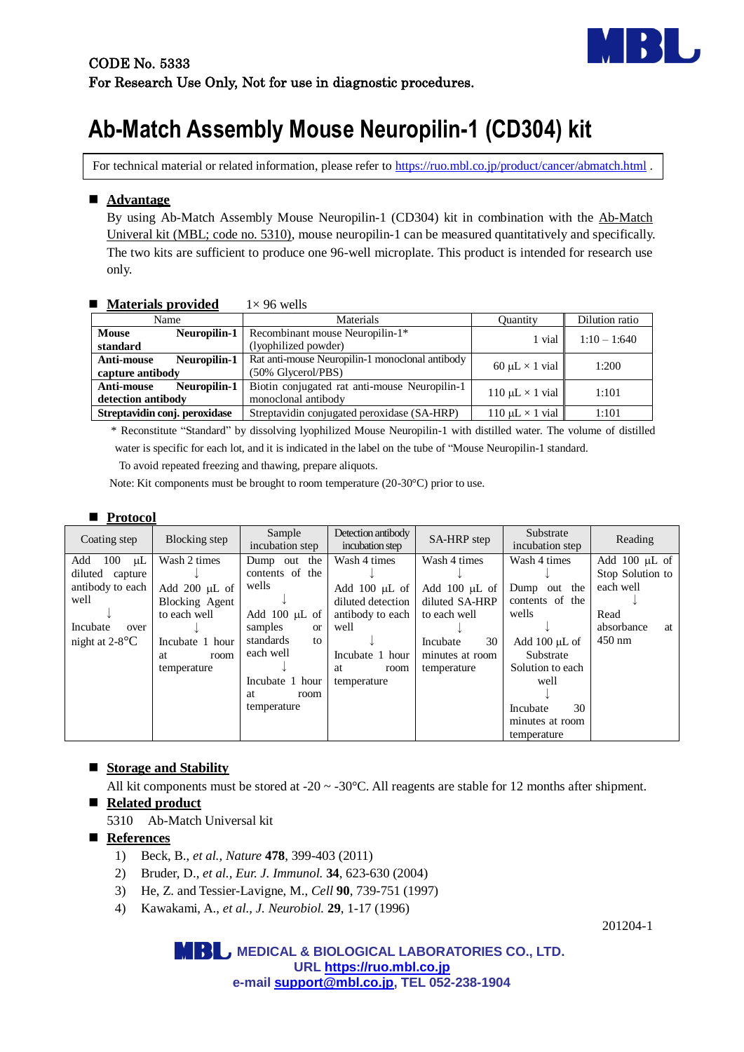

# **Ab-Match Assembly Mouse Neuropilin-1 (CD304) kit**

For technical material or related information, please refer to<https://ruo.mbl.co.jp/product/cancer/abmatch.html>.

## **Advantage**

By using Ab-Match Assembly Mouse Neuropilin-1 (CD304) kit in combination with the Ab-Match Univeral kit (MBL; code no. 5310), mouse neuropilin-1 can be measured quantitatively and specifically. The two kits are sufficient to produce one 96-well microplate. This product is intended for research use only.

| <b>Materials provided</b> | $1\times$ 96 wells |
|---------------------------|--------------------|
|                           |                    |

| Name                                                            |              | <b>Materials</b>                                | Ouantity                   | Dilution ratio |
|-----------------------------------------------------------------|--------------|-------------------------------------------------|----------------------------|----------------|
| Recombinant mouse Neuropilin-1*<br>Neuropilin-1<br><b>Mouse</b> |              | 1 vial                                          | $1:10 - 1:640$             |                |
| standard                                                        |              | (lyophilized powder)                            |                            |                |
| Anti-mouse                                                      | Neuropilin-1 | Rat anti-mouse Neuropilin-1 monoclonal antibody | 60 $\mu$ L $\times$ 1 vial | 1:200          |
| capture antibody                                                |              | $(50\% \text{ Glyeerol/PBS})$                   |                            |                |
| Anti-mouse                                                      | Neuropilin-1 | Biotin conjugated rat anti-mouse Neuropilin-1   | 110 $\mu$ L × 1 vial       | 1:101          |
| detection antibody                                              |              | monoclonal antibody                             |                            |                |
| Streptavidin conj. peroxidase                                   |              | Streptavidin conjugated peroxidase (SA-HRP)     | 110 $\mu$ L × 1 vial       | 1:101          |

\* Reconstitute "Standard" by dissolving lyophilized Mouse Neuropilin-1 with distilled water. The volume of distilled water is specific for each lot, and it is indicated in the label on the tube of "Mouse Neuropilin-1 standard.

To avoid repeated freezing and thawing, prepare aliquots.

Note: Kit components must be brought to room temperature (20-30°C) prior to use.

#### **Protocol**

| Coating step                                                                                                            | Blocking step                                                                                                        | Sample<br>incubation step                                                                                                                                                  | Detection antibody<br>incubation step                                                                                               | SA-HRP step                                                                                                              | Substrate<br>incubation step                                                                                                         | Reading                                                                                             |
|-------------------------------------------------------------------------------------------------------------------------|----------------------------------------------------------------------------------------------------------------------|----------------------------------------------------------------------------------------------------------------------------------------------------------------------------|-------------------------------------------------------------------------------------------------------------------------------------|--------------------------------------------------------------------------------------------------------------------------|--------------------------------------------------------------------------------------------------------------------------------------|-----------------------------------------------------------------------------------------------------|
| 100<br>μL<br>Add<br>diluted<br>capture<br>antibody to each<br>well<br>Incubate<br>over<br>night at $2-8$ <sup>o</sup> C | Wash 2 times<br>Add $200 \mu L$ of<br>Blocking Agent<br>to each well<br>Incubate 1 hour<br>room<br>at<br>temperature | Dump out the<br>contents of the<br>wells<br>Add $100 \mu L$ of<br>samples<br><sub>or</sub><br>standards<br>to<br>each well<br>Incubate 1 hour<br>at<br>room<br>temperature | Wash 4 times<br>Add $100 \mu L$ of<br>diluted detection<br>antibody to each<br>well<br>Incubate 1 hour<br>at<br>room<br>temperature | Wash 4 times<br>Add $100 \mu L$ of<br>diluted SA-HRP<br>to each well<br>30<br>Incubate<br>minutes at room<br>temperature | Wash 4 times<br>Dump out the<br>contents of the<br>wells<br>Add 100 µL of<br>Substrate<br>Solution to each<br>well<br>30<br>Incubate | Add $100 \mu L$ of<br>Stop Solution to<br>each well<br>Read<br>absorbance<br>at<br>$450 \text{ nm}$ |
|                                                                                                                         |                                                                                                                      |                                                                                                                                                                            |                                                                                                                                     |                                                                                                                          | minutes at room<br>temperature                                                                                                       |                                                                                                     |

### **Storage and Stability**

All kit components must be stored at  $-20 \sim -30^{\circ}$ C. All reagents are stable for 12 months after shipment.

### ■ Related product

5310 Ab-Match Universal kit

# **References**

- 1) Beck, B., *et al., Nature* **478**, 399-403 (2011)
- 2) Bruder, D., *et al., Eur. J. Immunol.* **34**, 623-630 (2004)
- 3) He, Z. and Tessier-Lavigne, M., *Cell* **90**, 739-751 (1997)
- 4) Kawakami, A., *et al., J. Neurobiol.* **29**, 1-17 (1996)

201204-1

| <b>MBU MEDICAL &amp; BIOLOGICAL LABORATORIES CO., LTD.</b> |
|------------------------------------------------------------|
| URL https://ruo.mbl.co.jp                                  |
| e-mail support@mbl.co.jp, TEL 052-238-1904                 |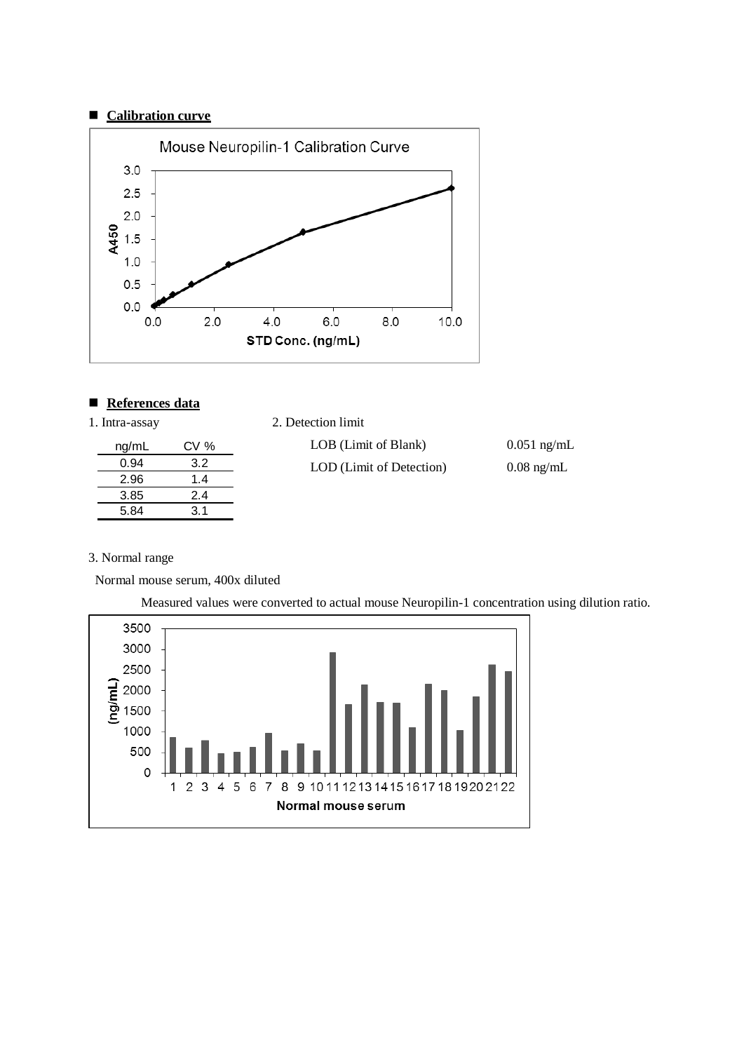# **Calibration curve**



# **References data**

| 1. Intra-assay |  |
|----------------|--|
|                |  |

| ng/mL | CV % |
|-------|------|
| 0.94  | 3.2  |
| 2.96  | 1.4  |
| 3.85  | 2.4  |
| 5.84  | 3.1  |

2. Detection limit

| LOB (Limit of Blank)     | $0.051$ ng/mL |
|--------------------------|---------------|
| LOD (Limit of Detection) | $0.08$ ng/mL  |

## 3. Normal range

Normal mouse serum, 400x diluted



Measured values were converted to actual mouse Neuropilin-1 concentration using dilution ratio.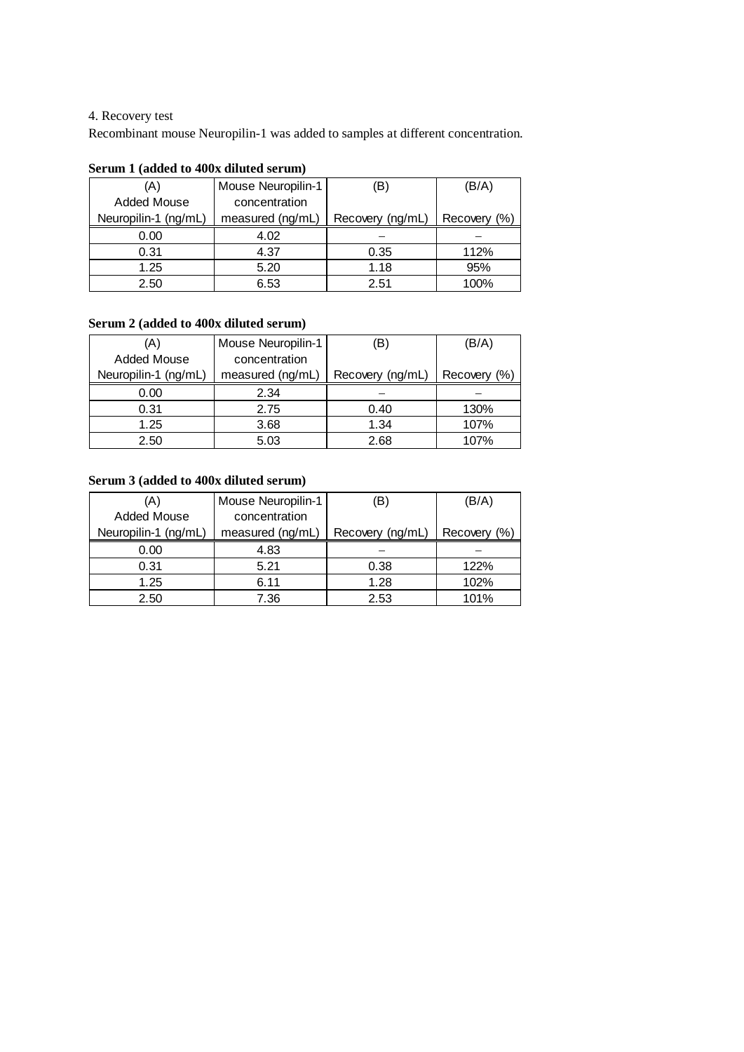### 4. Recovery test

Recombinant mouse Neuropilin-1 was added to samples at different concentration.

# **Serum 1 (added to 400x diluted serum)**

| (A)                  | Mouse Neuropilin-1 | (B)              | (B/A)        |
|----------------------|--------------------|------------------|--------------|
| <b>Added Mouse</b>   | concentration      |                  |              |
| Neuropilin-1 (ng/mL) | measured (ng/mL)   | Recovery (ng/mL) | Recovery (%) |
| 0.00                 | 4.02               |                  |              |
| 0.31                 | 4.37               | 0.35             | 112%         |
| 1.25                 | 5.20               | 1.18             | 95%          |
| 2.50                 | 6.53               | 2.51             | 100%         |

# **Serum 2 (added to 400x diluted serum)**

| (A)                  | Mouse Neuropilin-1 | (B)              | (B/A)            |
|----------------------|--------------------|------------------|------------------|
| Added Mouse          | concentration      |                  |                  |
| Neuropilin-1 (ng/mL) | measured (ng/mL)   | Recovery (ng/mL) | Recovery<br>(% ) |
| 0.00                 | 2.34               |                  |                  |
| 0.31                 | 2.75               | 0.40             | 130%             |
| 1.25                 | 3.68               | 1.34             | 107%             |
| 2.50                 | 5.03               | 2.68             | 107%             |

# **Serum 3 (added to 400x diluted serum)**

| (A)                  | Mouse Neuropilin-1 | ΈB,              | (B/A)            |
|----------------------|--------------------|------------------|------------------|
| <b>Added Mouse</b>   | concentration      |                  |                  |
| Neuropilin-1 (ng/mL) | measured (ng/mL)   | Recovery (ng/mL) | Recovery<br>(% ) |
| 0.00                 | 4.83               |                  |                  |
| 0.31                 | 5.21               | 0.38             | 122%             |
| 1.25                 | 6.11               | 1.28             | 102%             |
| 2.50                 | 7.36               | 2.53             | 101%             |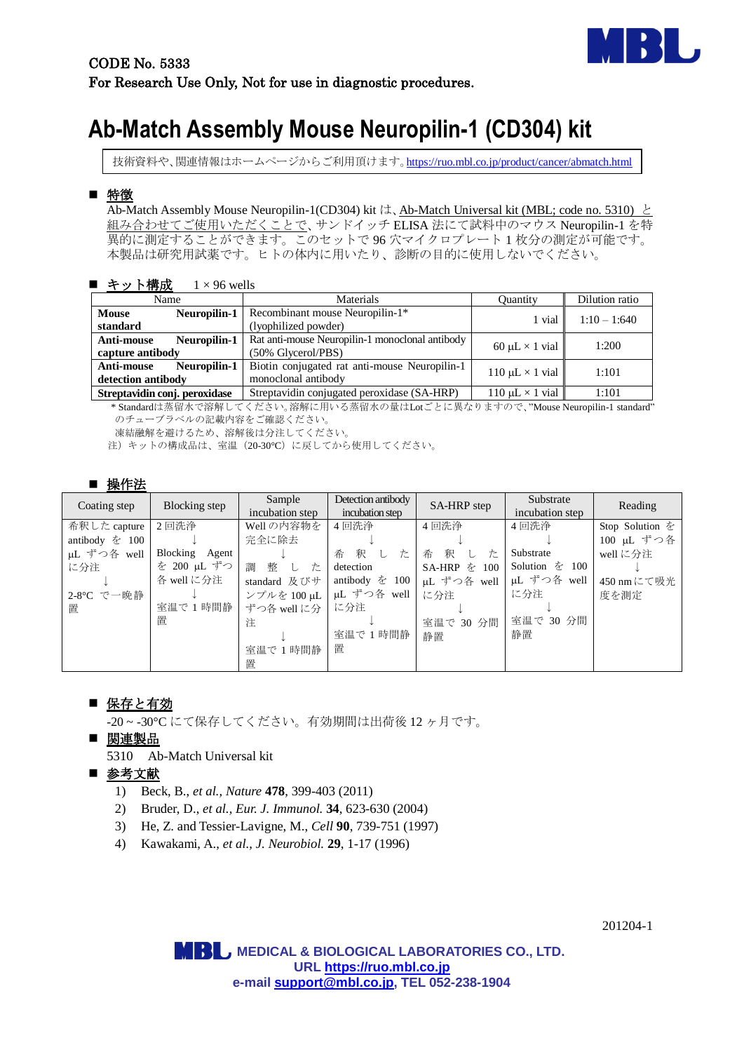

# **Ab-Match Assembly Mouse Neuropilin-1 (CD304) kit**

技術資料や、関連情報はホームページからご利用頂けます。<https://ruo.mbl.co.jp/product/cancer/abmatch.html>

# ■ 特徴

Ab-Match Assembly Mouse Neuropilin-1(CD304) kit は、Ab-Match Universal kit (MBL; code no. 5310) と 組み合わせてご使用いただくことで、サンドイッチ ELISA 法にて試料中のマウス Neuropilin-1 を特 異的に測定することができます。このセットで 96 穴マイクロプレート 1 枚分の測定が可能です。 本製品は研究用試薬です。ヒトの体内に用いたり、診断の目的に使用しないでください。

|  |  | キット構成 | $1 \times 96$ wells |
|--|--|-------|---------------------|
|--|--|-------|---------------------|

| Name                                                            |              | <b>Materials</b>                                | Ouantity                    | Dilution ratio |
|-----------------------------------------------------------------|--------------|-------------------------------------------------|-----------------------------|----------------|
| Recombinant mouse Neuropilin-1*<br>Neuropilin-1<br><b>Mouse</b> |              |                                                 | 1 vial                      | $1:10 - 1:640$ |
| standard                                                        |              | (lyophilized powder)                            |                             |                |
| Anti-mouse                                                      | Neuropilin-1 | Rat anti-mouse Neuropilin-1 monoclonal antibody | 60 $\mu$ L $\times$ 1 vial  | 1:200          |
| capture antibody                                                |              | (50% Glycerol/PBS)                              |                             |                |
| Anti-mouse                                                      | Neuropilin-1 | Biotin conjugated rat anti-mouse Neuropilin-1   | 110 $\mu$ L $\times$ 1 vial | 1:101          |
| detection antibody                                              |              | monoclonal antibody                             |                             |                |
| Streptavidin conj. peroxidase                                   |              | Streptavidin conjugated peroxidase (SA-HRP)     | 110 $\mu$ L $\times$ 1 vial | 1:101          |

\* Standardは蒸留水で溶解してください。溶解に用いる蒸留水の量はLotごとに異なりますので、"Mouse Neuropilin-1 standard" のチューブラベルの記載内容をご確認ください。

凍結融解を避けるため、溶解後は分注してください。

注)キットの構成品は、室温(20-30℃)に戻してから使用してください。

### ■ 操作法

| Coating step      | Blocking step  | Sample<br>incubation step | Detection antibody<br>incubation step | SA-HRP step  | Substrate<br>incubation step | Reading            |
|-------------------|----------------|---------------------------|---------------------------------------|--------------|------------------------------|--------------------|
| 希釈した capture      | 2回洗浄           | Well の内容物を                | 4回洗浄                                  | 4回洗浄         | 4回洗浄                         | Stop Solution $\&$ |
| antibody $\&$ 100 |                | 完全に除去                     |                                       |              |                              | 100 µL ずつ各         |
| μL ずつ各 well       | Blocking Agent |                           | 釈<br>希<br>た                           | 釈<br>希<br>た  | Substrate                    | well に分注           |
| に分注               | を 200 µL ずつ    | 整<br>調<br>た               | detection                             | SA-HRP を 100 | Solution $\&$ 100            |                    |
|                   | 各 well に分注     | standard 及びサ              | antibody $\&$ 100                     | uL ずつ各 well  | μL ずつ各 well                  | 450 nmにて吸光         |
| 2-8°C で一晩静        |                | ンプルを 100 µL               | μL ずつ各 well                           | に分注          | に分注                          | 度を測定               |
| 置                 | 室温で1時間静        | ずつ各 wellに分                | に分注                                   |              |                              |                    |
|                   | 置              | 注                         |                                       | 室温で 30 分間    | 室温で 30 分間                    |                    |
|                   |                |                           | 室温で1時間静                               | 静置           | 静置                           |                    |
|                   |                | 室温で1時間静                   | 置                                     |              |                              |                    |
|                   |                | 置                         |                                       |              |                              |                    |

# ■ 保存と有効

-20 ~ -30°C にて保存してください。有効期間は出荷後 12 ヶ月です。

### ■ 関連製品

5310 Ab-Match Universal kit

■ 参考文献

- 1) Beck, B., *et al., Nature* **478**, 399-403 (2011)
- 2) Bruder, D., *et al., Eur. J. Immunol.* **34**, 623-630 (2004)
- 3) He, Z. and Tessier-Lavigne, M., *Cell* **90**, 739-751 (1997)
- 4) Kawakami, A., *et al., J. Neurobiol.* **29**, 1-17 (1996)

201204-1

**MEDICAL & BIOLOGICAL LABORATORIES CO., LTD. URL https://ruo.mbl.co.jp e-mail support@mbl.co.jp, TEL 052-238-1904**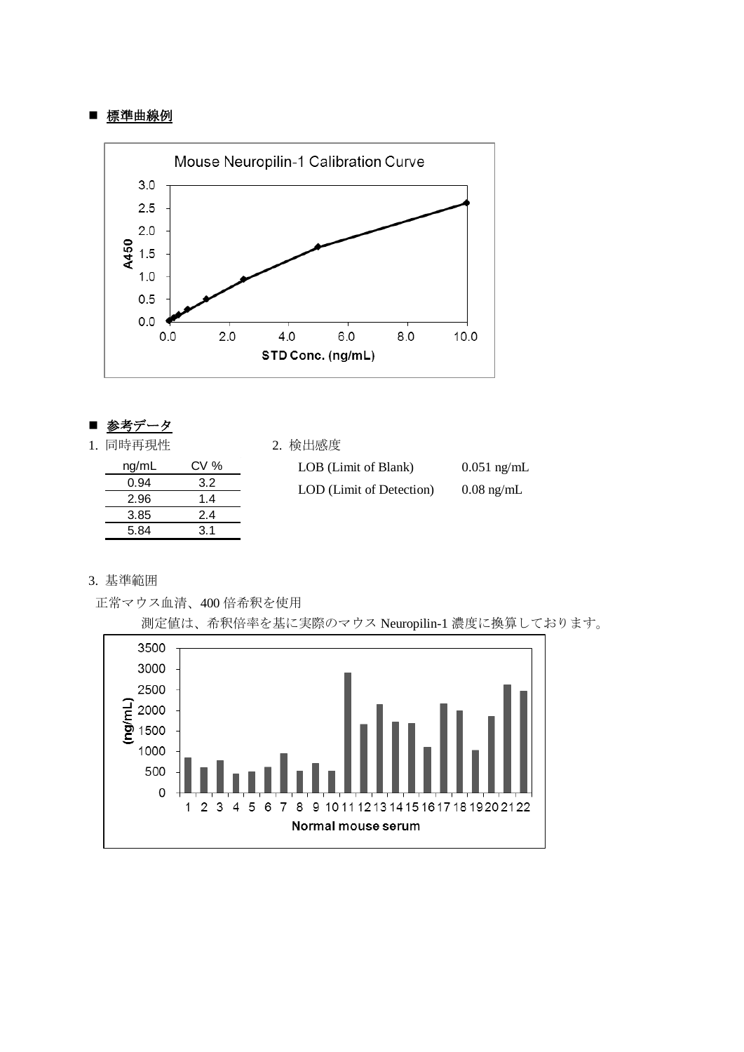# ■ 標準曲線例



### ■ 参考データ

1. 同時再現性 2. 検出感度

| مطاطر واللانات |      |
|----------------|------|
| ng/mL          | CV % |
| 0.94           | 3.2  |
| 2.96           | 1.4  |
| 3.85           | 2.4  |
| 5.84           | 3.1  |

| CV% | LOB (Limit of Blank)     | $0.051$ ng/mL |
|-----|--------------------------|---------------|
| 3.2 |                          |               |
| 1.4 |                          |               |
|     | LOD (Limit of Detection) | $0.08$ ng/mL  |

3. 基準範囲

正常マウス血清、400 倍希釈を使用



測定値は、希釈倍率を基に実際のマウス Neuropilin-1 濃度に換算しております。